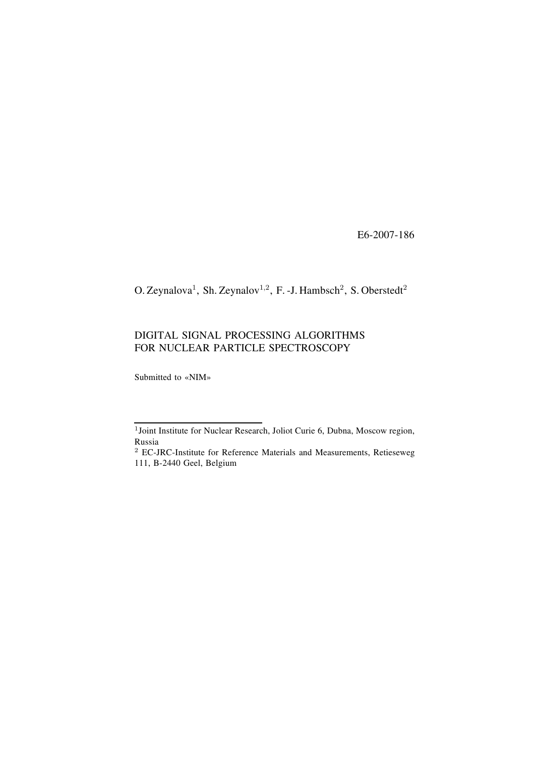E6-2007-186

O. Zeynalova<sup>1</sup>, Sh. Zeynalov<sup>1,2</sup>, F. -J. Hambsch<sup>2</sup>, S. Oberstedt<sup>2</sup>

# DIGITAL SIGNAL PROCESSING ALGORITHMS FOR NUCLEAR PARTICLE SPECTROSCOPY

Submitted to «NIM»

<sup>1</sup>Joint Institute for Nuclear Research, Joliot Curie 6, Dubna, Moscow region, Russia

<sup>2</sup> EC-JRC-Institute for Reference Materials and Measurements, Retieseweg 111, B-2440 Geel, Belgium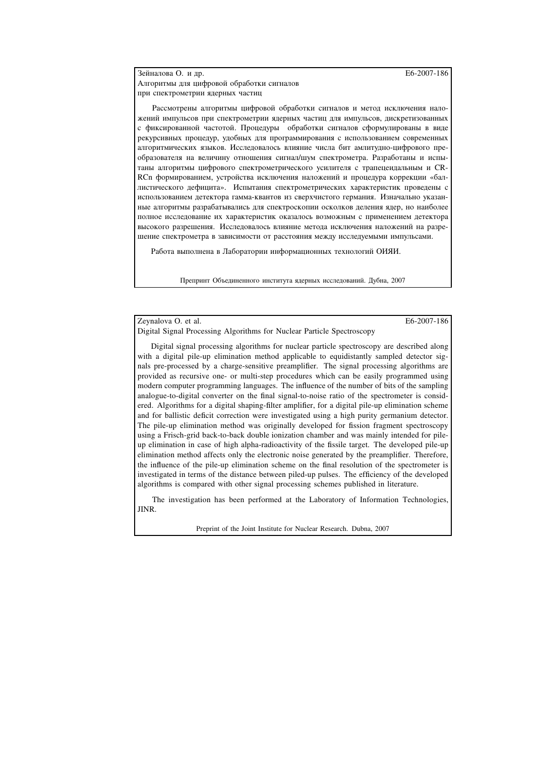Зейналова О. и др. **E6-2007-186** Алгоритмы для цифровой обработки сигналов при спектрометрии ядерных частиц

Рассмотрены алгоритмы цифровой обработки сигналов и метод исключения наложений импульсов при спектрометрии ядерных частиц для импульсов, дискретизованных с фиксированной частотой. Процедуры обработки сигналов сформулированы в виде рекурсивных процедур, удобных для программирования с использованием современных алгоритмических языков. Исследовалось влияние числа бит амлитудно-цифрового преобразователя на величину отношения сигнал/шум спектрометра. Разработаны и испытаны алгоритмы цифрового спектрометрического усилителя с трапецеидальным и CR-RCn формированием, устройства исключения наложений и процедура коррекции «баллистического дефицита». Испытания спектрометрических характеристик проведены с использованием детектора гамма-квантов из сверхчистого германия. Изначально указанные алгоритмы разрабатывались для спектроскопии осколков деления ядер, но наиболее полное исследование их характеристик оказалось возможным с применением детектора высокого разрешения. Исследовалось влияние метода исключения наложений на разрешение спектрометра в зависимости от расстояния между исследуемыми импульсами.

Работа выполнена в Лаборатории информационных технологий ОИЯИ.

Препринт Объединенного института ядерных исследований. Дубна, 2007

Zeynalova O. et al. E6-2007-186

Digital Signal Processing Algorithms for Nuclear Particle Spectroscopy

Digital signal processing algorithms for nuclear particle spectroscopy are described along with a digital pile-up elimination method applicable to equidistantly sampled detector signals pre-processed by a charge-sensitive preamplifier. The signal processing algorithms are provided as recursive one- or multi-step procedures which can be easily programmed using modern computer programming languages. The influence of the number of bits of the sampling analogue-to-digital converter on the final signal-to-noise ratio of the spectrometer is considered. Algorithms for a digital shaping-filter amplifier, for a digital pile-up elimination scheme and for ballistic deficit correction were investigated using a high purity germanium detector. The pile-up elimination method was originally developed for fission fragment spectroscopy using a Frisch-grid back-to-back double ionization chamber and was mainly intended for pileup elimination in case of high alpha-radioactivity of the fissile target. The developed pile-up elimination method affects only the electronic noise generated by the preamplifier. Therefore, the influence of the pile-up elimination scheme on the final resolution of the spectrometer is investigated in terms of the distance between piled-up pulses. The efficiency of the developed algorithms is compared with other signal processing schemes published in literature.

The investigation has been performed at the Laboratory of Information Technologies, JINR.

Preprint of the Joint Institute for Nuclear Research. Dubna, 2007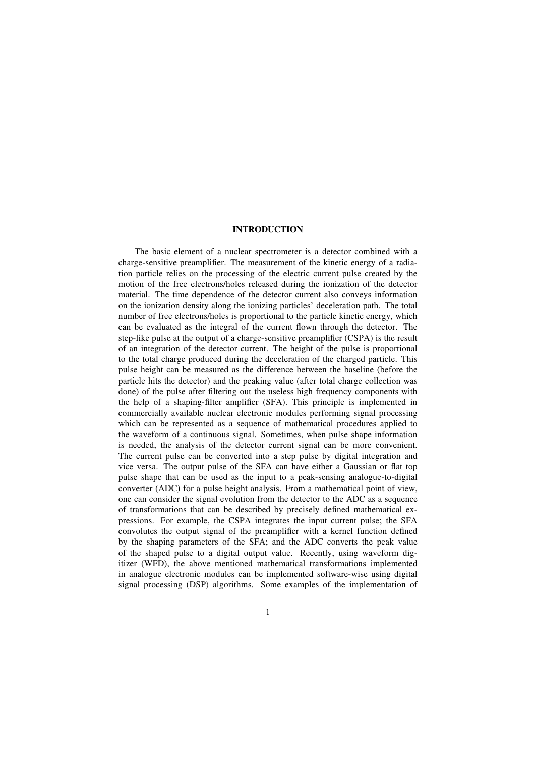#### **INTRODUCTION**

The basic element of a nuclear spectrometer is a detector combined with a charge-sensitive preamplifier. The measurement of the kinetic energy of a radiation particle relies on the processing of the electric current pulse created by the motion of the free electrons/holes released during the ionization of the detector material. The time dependence of the detector current also conveys information on the ionization density along the ionizing particles' deceleration path. The total number of free electrons/holes is proportional to the particle kinetic energy, which can be evaluated as the integral of the current flown through the detector. The step-like pulse at the output of a charge-sensitive preamplifier (CSPA) is the result of an integration of the detector current. The height of the pulse is proportional to the total charge produced during the deceleration of the charged particle. This pulse height can be measured as the difference between the baseline (before the particle hits the detector) and the peaking value (after total charge collection was done) of the pulse after filtering out the useless high frequency components with the help of a shaping-filter amplifier (SFA). This principle is implemented in commercially available nuclear electronic modules performing signal processing which can be represented as a sequence of mathematical procedures applied to the waveform of a continuous signal. Sometimes, when pulse shape information is needed, the analysis of the detector current signal can be more convenient. The current pulse can be converted into a step pulse by digital integration and vice versa. The output pulse of the SFA can have either a Gaussian or flat top pulse shape that can be used as the input to a peak-sensing analogue-to-digital converter (ADC) for a pulse height analysis. From a mathematical point of view, one can consider the signal evolution from the detector to the ADC as a sequence of transformations that can be described by precisely defined mathematical expressions. For example, the CSPA integrates the input current pulse; the SFA convolutes the output signal of the preamplifier with a kernel function defined by the shaping parameters of the SFA; and the ADC converts the peak value of the shaped pulse to a digital output value. Recently, using waveform digitizer (WFD), the above mentioned mathematical transformations implemented in analogue electronic modules can be implemented software-wise using digital signal processing (DSP) algorithms. Some examples of the implementation of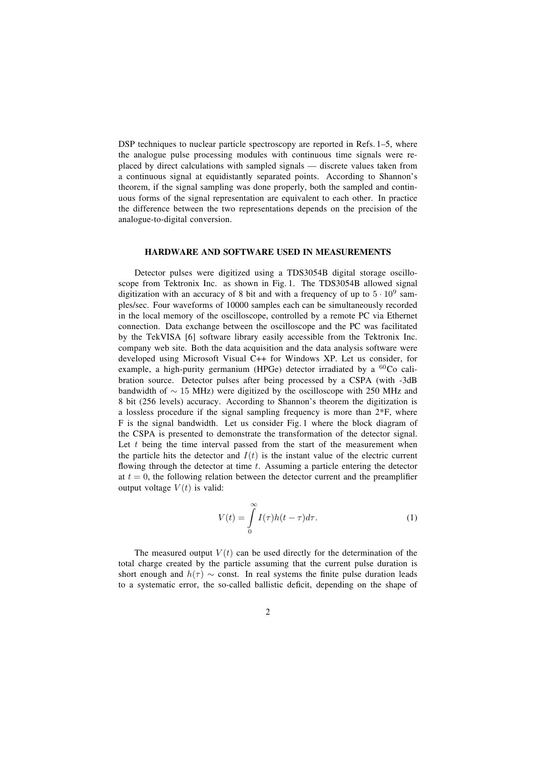DSP techniques to nuclear particle spectroscopy are reported in Refs.  $1-5$ , where the analogue pulse processing modules with continuous time signals were replaced by direct calculations with sampled signals — discrete values taken from a continuous signal at equidistantly separated points. According to Shannon's theorem, if the signal sampling was done properly, both the sampled and continuous forms of the signal representation are equivalent to each other. In practice the difference between the two representations depends on the precision of the analogue-to-digital conversion.

#### **HARDWARE AND SOFTWARE USED IN MEASUREMENTS**

Detector pulses were digitized using a TDS3054B digital storage oscilloscope from Tektronix Inc. as shown in Fig. 1. The TDS3054B allowed signal digitization with an accuracy of 8 bit and with a frequency of up to  $5 \cdot 10^9$  samples/sec. Four waveforms of 10000 samples each can be simultaneously recorded in the local memory of the oscilloscope, controlled by a remote PC via Ethernet connection. Data exchange between the oscilloscope and the PC was facilitated by the TekVISA [6] software library easily accessible from the Tektronix Inc. company web site. Both the data acquisition and the data analysis software were developed using Microsoft Visual C++ for Windows XP. Let us consider, for example, a high-purity germanium (HPGe) detector irradiated by a <sup>60</sup>Co calibration source. Detector pulses after being processed by a CSPA (with -3dB bandwidth of ∼ 15 MHz) were digitized by the oscilloscope with 250 MHz and 8 bit (256 levels) accuracy. According to Shannon's theorem the digitization is a lossless procedure if the signal sampling frequency is more than 2\*F, where F is the signal bandwidth. Let us consider Fig. 1 where the block diagram of the CSPA is presented to demonstrate the transformation of the detector signal. Let  $t$  being the time interval passed from the start of the measurement when the particle hits the detector and  $I(t)$  is the instant value of the electric current flowing through the detector at time  $t$ . Assuming a particle entering the detector at  $t = 0$ , the following relation between the detector current and the preamplifier output voltage  $V(t)$  is valid:

$$
V(t) = \int_{0}^{\infty} I(\tau)h(t-\tau)d\tau.
$$
 (1)

The measured output  $V(t)$  can be used directly for the determination of the total charge created by the particle assuming that the current pulse duration is short enough and  $h(\tau) \sim$  const. In real systems the finite pulse duration leads to a systematic error, the so-called ballistic deficit, depending on the shape of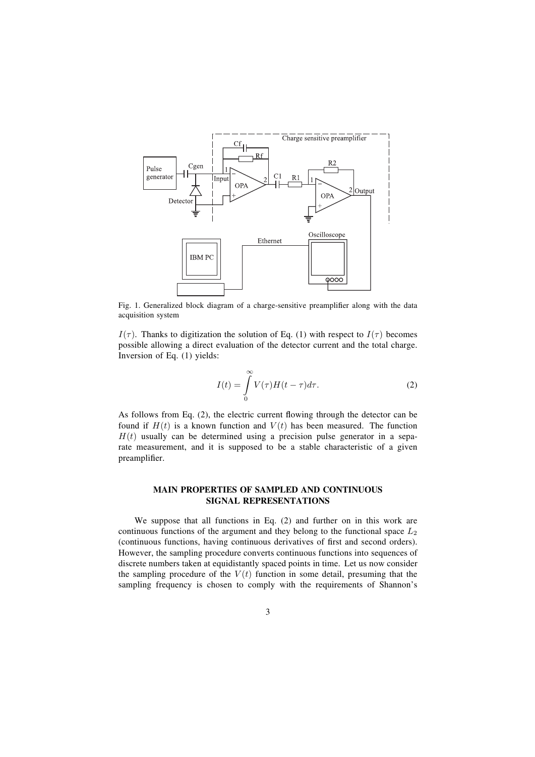

Fig. 1. Generalized block diagram of a charge-sensitive preamplifier along with the data acquisition system

 $I(\tau)$ . Thanks to digitization the solution of Eq. (1) with respect to  $I(\tau)$  becomes possible allowing a direct evaluation of the detector current and the total charge. Inversion of Eq. (1) yields:

$$
I(t) = \int_{0}^{\infty} V(\tau)H(t-\tau)d\tau.
$$
 (2)

As follows from Eq.  $(2)$ , the electric current flowing through the detector can be found if  $H(t)$  is a known function and  $V(t)$  has been measured. The function  $H(t)$  usually can be determined using a precision pulse generator in a separate measurement, and it is supposed to be a stable characteristic of a given preamplifier.

## **MAIN PROPERTIES OF SAMPLED AND CONTINUOUS SIGNAL REPRESENTATIONS**

We suppose that all functions in Eq. (2) and further on in this work are continuous functions of the argument and they belong to the functional space  $L_2$ (continuous functions, having continuous derivatives of first and second orders). However, the sampling procedure converts continuous functions into sequences of discrete numbers taken at equidistantly spaced points in time. Let us now consider the sampling procedure of the  $V(t)$  function in some detail, presuming that the sampling frequency is chosen to comply with the requirements of Shannon's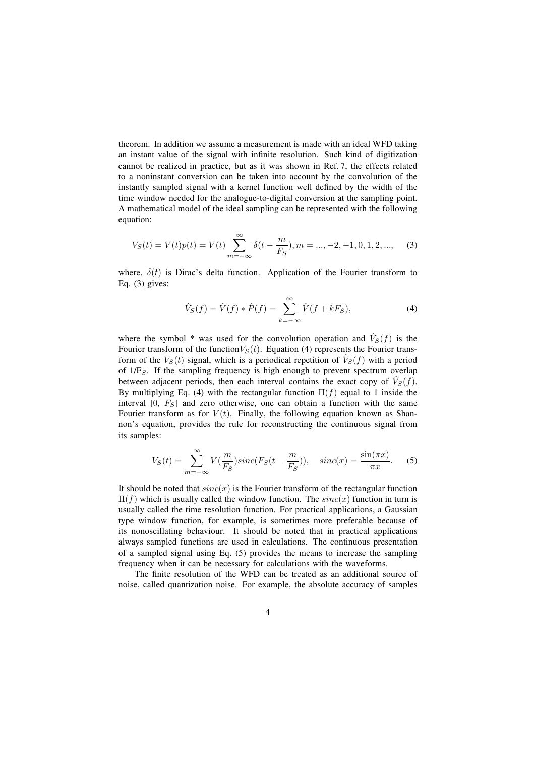theorem. In addition we assume a measurement is made with an ideal WFD taking an instant value of the signal with infinite resolution. Such kind of digitization cannot be realized in practice, but as it was shown in Ref. 7, the effects related to a noninstant conversion can be taken into account by the convolution of the instantly sampled signal with a kernel function well defined by the width of the time window needed for the analogue-to-digital conversion at the sampling point. A mathematical model of the ideal sampling can be represented with the following equation:

$$
V_S(t) = V(t)p(t) = V(t)\sum_{m=-\infty}^{\infty} \delta(t - \frac{m}{F_S}), m = ..., -2, -1, 0, 1, 2, ..., \tag{3}
$$

where,  $\delta(t)$  is Dirac's delta function. Application of the Fourier transform to Eq. (3) gives:

$$
\hat{V}_S(f) = \hat{V}(f) * \hat{P}(f) = \sum_{k=-\infty}^{\infty} \hat{V}(f + kF_S),
$$
\n(4)

where the symbol \* was used for the convolution operation and  $\hat{V}_S(f)$  is the Fourier transform of the function  $V_S(t)$ . Equation (4) represents the Fourier transform of the  $V_S(t)$  signal, which is a periodical repetition of  $\hat{V}_S(f)$  with a period of  $1/F<sub>S</sub>$ . If the sampling frequency is high enough to prevent spectrum overlap between adjacent periods, then each interval contains the exact copy of  $\hat{V}_S(f)$ . By multiplying Eq. (4) with the rectangular function  $\Pi(f)$  equal to 1 inside the interval  $[0, F<sub>S</sub>]$  and zero otherwise, one can obtain a function with the same Fourier transform as for  $V(t)$ . Finally, the following equation known as Shannon's equation, provides the rule for reconstructing the continuous signal from its samples:

$$
V_S(t) = \sum_{m = -\infty}^{\infty} V(\frac{m}{F_S}) sinc(F_S(t - \frac{m}{F_S})), \quad sinc(x) = \frac{\sin(\pi x)}{\pi x}.
$$
 (5)

It should be noted that  $sinc(x)$  is the Fourier transform of the rectangular function  $\Pi(f)$  which is usually called the window function. The  $sinc(x)$  function in turn is usually called the time resolution function. For practical applications, a Gaussian type window function, for example, is sometimes more preferable because of its nonoscillating behaviour. It should be noted that in practical applications always sampled functions are used in calculations. The continuous presentation of a sampled signal using Eq. (5) provides the means to increase the sampling frequency when it can be necessary for calculations with the waveforms.

The finite resolution of the WFD can be treated as an additional source of noise, called quantization noise. For example, the absolute accuracy of samples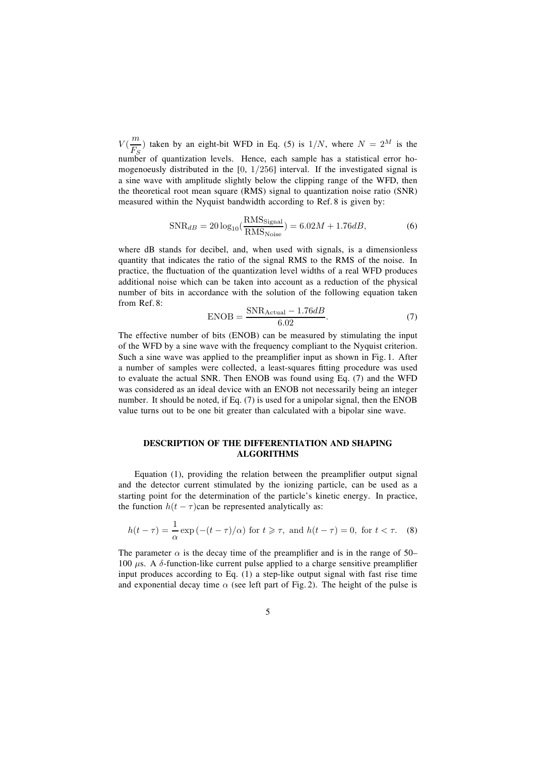$V(\frac{m}{F_S})$  taken by an eight-bit WFD in Eq. (5) is  $1/N$ , where  $N = 2^M$  is the number of quantization levels. Hence, each sample has a statistical error homogenoeusly distributed in the  $[0, 1/256]$  interval. If the investigated signal is a sine wave with amplitude slightly below the clipping range of the WFD, then the theoretical root mean square (RMS) signal to quantization noise ratio (SNR) measured within the Nyquist bandwidth according to Ref. 8 is given by:

$$
\text{SNR}_{dB} = 20 \log_{10} \left( \frac{\text{RMS}_{\text{Signal}}}{\text{RMS}_{\text{Noise}}} \right) = 6.02M + 1.76dB,\tag{6}
$$

where dB stands for decibel, and, when used with signals, is a dimensionless quantity that indicates the ratio of the signal RMS to the RMS of the noise. In practice, the fluctuation of the quantization level widths of a real WFD produces additional noise which can be taken into account as a reduction of the physical number of bits in accordance with the solution of the following equation taken from Ref. 8:

$$
ENOB = \frac{SNR_{Actual} - 1.76dB}{6.02}.
$$
\n(7)

The effective number of bits (ENOB) can be measured by stimulating the input of the WFD by a sine wave with the frequency compliant to the Nyquist criterion. Such a sine wave was applied to the preamplifier input as shown in Fig. 1. After a number of samples were collected, a least-squares fitting procedure was used to evaluate the actual SNR. Then ENOB was found using Eq. (7) and the WFD was considered as an ideal device with an ENOB not necessarily being an integer number. It should be noted, if Eq. (7) is used for a unipolar signal, then the ENOB value turns out to be one bit greater than calculated with a bipolar sine wave.

## **DESCRIPTION OF THE DIFFERENTIATION AND SHAPING ALGORITHMS**

Equation  $(1)$ , providing the relation between the preamplifier output signal and the detector current stimulated by the ionizing particle, can be used as a starting point for the determination of the particle's kinetic energy. In practice, the function  $h(t - \tau)$ can be represented analytically as:

$$
h(t-\tau) = \frac{1}{\alpha} \exp(-(t-\tau)/\alpha) \text{ for } t \ge \tau, \text{ and } h(t-\tau) = 0, \text{ for } t < \tau. \tag{8}
$$

The parameter  $\alpha$  is the decay time of the preamplifier and is in the range of 50– 100  $\mu$ s. A  $\delta$ -function-like current pulse applied to a charge sensitive preamplifier input produces according to Eq. (1) a step-like output signal with fast rise time and exponential decay time  $\alpha$  (see left part of Fig. 2). The height of the pulse is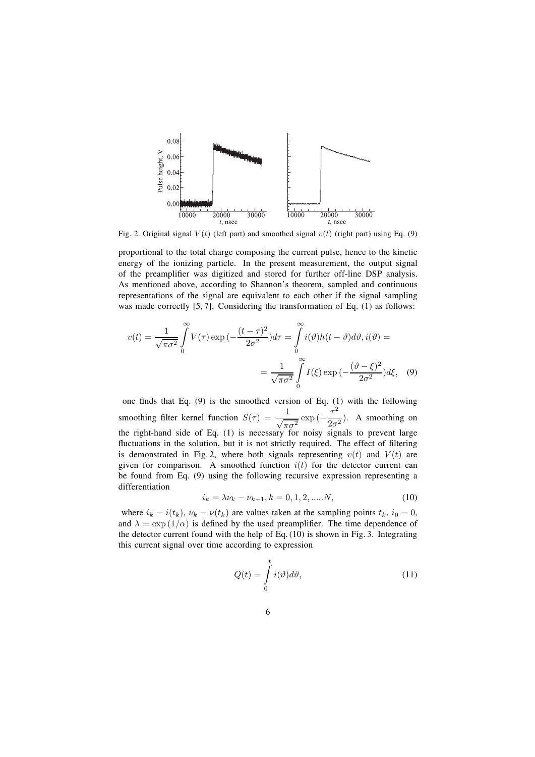

Fig. 2. Original signal  $V(t)$  (left part) and smoothed signal  $v(t)$  (right part) using Eq. (9)

proportional to the total charge composing the current pulse, hence to the kinetic energy of the ionizing particle. In the present measurement, the output signal of the preamplifier was digitized and stored for further off-line DSP analysis. As mentioned above, according to Shannon's theorem, sampled and continuous representations of the signal are equivalent to each other if the signal sampling was made correctly [5, 7]. Considering the transformation of Eq. (1) as follows:

$$
v(t) = \frac{1}{\sqrt{\pi \sigma^2}} \int_{0}^{\infty} V(\tau) \exp\left(-\frac{(t-\tau)^2}{2\sigma^2}\right) d\tau = \int_{0}^{\infty} i(\vartheta) h(t-\vartheta) d\vartheta, i(\vartheta) =
$$

$$
= \frac{1}{\sqrt{\pi \sigma^2}} \int_{0}^{\infty} I(\xi) \exp\left(-\frac{(\vartheta - \xi)^2}{2\sigma^2}\right) d\xi, \quad (9)
$$

one finds that Eq.  $(9)$  is the smoothed version of Eq.  $(1)$  with the following smoothing filter kernel function  $S(\tau) = \frac{1}{\sqrt{\pi \sigma^2}} \exp(-\frac{\tau^2}{2\sigma^2})$ . A smoothing on the right-hand side of Eq. (1) is necessary for noisy signals to prevent large fluctuations in the solution, but it is not strictly required. The effect of filtering is demonstrated in Fig. 2, where both signals representing  $v(t)$  and  $V(t)$  are given for comparison. A smoothed function  $i(t)$  for the detector current can be found from Eq. (9) using the following recursive expression representing a differentiation

$$
i_k = \lambda \nu_k - \nu_{k-1}, k = 0, 1, 2, \dots N,
$$
\n(10)

where  $i_k = i(t_k)$ ,  $\nu_k = \nu(t_k)$  are values taken at the sampling points  $t_k$ ,  $i_0 = 0$ , and  $\lambda = \exp(1/\alpha)$  is defined by the used preamplifier. The time dependence of the detector current found with the help of Eq. (10) is shown in Fig. 3. Integrating this current signal over time according to expression

$$
Q(t) = \int_{0}^{t} i(\vartheta)d\vartheta, \qquad (11)
$$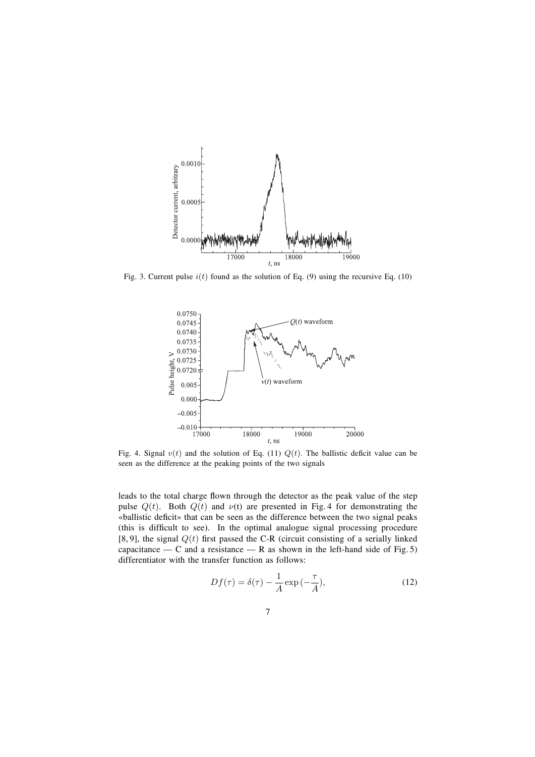

Fig. 3. Current pulse  $i(t)$  found as the solution of Eq. (9) using the recursive Eq. (10)



Fig. 4. Signal  $v(t)$  and the solution of Eq. (11)  $Q(t)$ . The ballistic deficit value can be seen as the difference at the peaking points of the two signals

leads to the total charge flown through the detector as the peak value of the step pulse  $Q(t)$ . Both  $Q(t)$  and  $\nu(t)$  are presented in Fig. 4 for demonstrating the «ballistic deficit» that can be seen as the difference between the two signal peaks (this is difficult to see). In the optimal analogue signal processing procedure [8, 9], the signal  $Q(t)$  first passed the C-R (circuit consisting of a serially linked capacitance — C and a resistance — R as shown in the left-hand side of Fig. 5) differentiator with the transfer function as follows:

$$
Df(\tau) = \delta(\tau) - \frac{1}{A} \exp\left(-\frac{\tau}{A}\right),\tag{12}
$$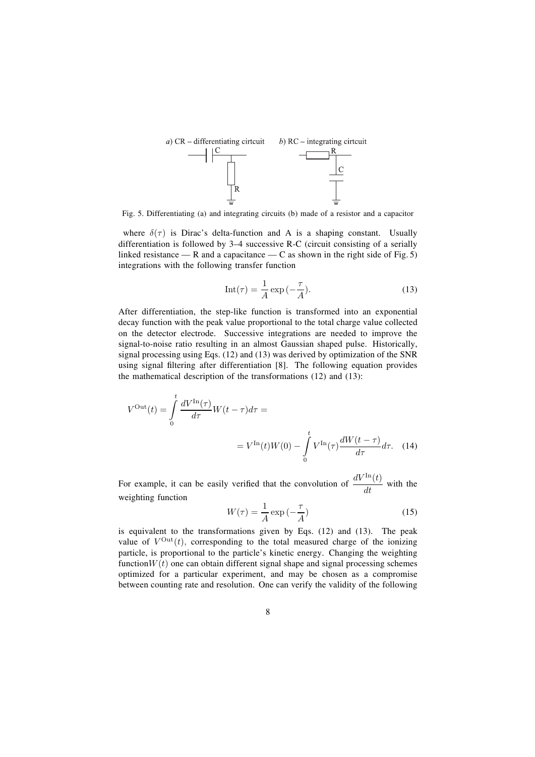

Fig. 5. Differentiating (a) and integrating circuits (b) made of a resistor and a capacitor

where  $\delta(\tau)$  is Dirac's delta-function and A is a shaping constant. Usually differentiation is followed by  $3-4$  successive R-C (circuit consisting of a serially linked resistance — R and a capacitance — C as shown in the right side of Fig. 5) integrations with the following transfer function

$$
Int(\tau) = \frac{1}{A} \exp\left(-\frac{\tau}{A}\right).
$$
 (13)

After differentiation, the step-like function is transformed into an exponential decay function with the peak value proportional to the total charge value collected on the detector electrode. Successive integrations are needed to improve the signal-to-noise ratio resulting in an almost Gaussian shaped pulse. Historically, signal processing using Eqs. (12) and (13) was derived by optimization of the SNR using signal filtering after differentiation  $[8]$ . The following equation provides the mathematical description of the transformations (12) and (13):

$$
V^{\text{Out}}(t) = \int_{0}^{t} \frac{dV^{\text{In}}(\tau)}{d\tau} W(t-\tau) d\tau =
$$
  

$$
= V^{\text{In}}(t)W(0) - \int_{0}^{t} V^{\text{In}}(\tau) \frac{dW(t-\tau)}{d\tau} d\tau.
$$
 (14)

For example, it can be easily verified that the convolution of  $\frac{dV^{\text{In}}(t)}{dt}$  with the weighting function

$$
W(\tau) = \frac{1}{A} \exp\left(-\frac{\tau}{A}\right) \tag{15}
$$

is equivalent to the transformations given by Eqs. (12) and (13). The peak value of  $V^{\text{Out}}(t)$ , corresponding to the total measured charge of the ionizing particle, is proportional to the particle's kinetic energy. Changing the weighting function $W(t)$  one can obtain different signal shape and signal processing schemes optimized for a particular experiment, and may be chosen as a compromise between counting rate and resolution. One can verify the validity of the following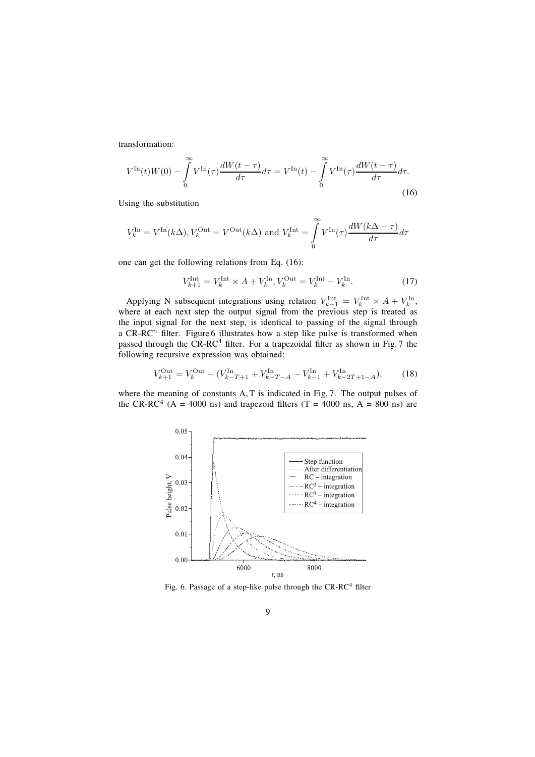transformation:

$$
V^{\text{In}}(t)W(0) - \int_{0}^{\infty} V^{\text{In}}(\tau) \frac{dW(t-\tau)}{d\tau} d\tau = V^{\text{In}}(t) - \int_{0}^{\infty} V^{\text{In}}(\tau) \frac{dW(t-\tau)}{d\tau} d\tau.
$$
\n(16)

Using the substitution

$$
V_k^{\text{In}} = V^{\text{In}}(k\Delta), V_k^{\text{Out}} = V^{\text{Out}}(k\Delta) \text{ and } V_k^{\text{Int}} = \int_{0}^{\infty} V^{\text{In}}(\tau) \frac{dW(k\Delta - \tau)}{d\tau} d\tau
$$

one can get the following relations from Eq. (16):

$$
V_{k+1}^{\text{Int}} = V_k^{\text{Int}} \times A + V_k^{\text{In}}, V_k^{\text{Out}} = V_k^{\text{Int}} - V_k^{\text{In}}.
$$
 (17)

Applying N subsequent integrations using relation  $V_{k+1}^{\text{Int}} = V_k^{\text{Int}} \times A + V_k^{\text{In}}$ , where at each next step the output signal from the previous step is treated as the input signal for the next step, is identical to passing of the signal through a CR-RC<sup>n</sup> filter. Figure 6 illustrates how a step like pulse is transformed when passed through the CR-RC<sup>4</sup> filter. For a trapezoidal filter as shown in Fig. 7 the following recursive expression was obtained:

$$
V_{k+1}^{\text{Out}} = V_k^{\text{Out}} - (V_{k-T+1}^{\text{In}} + V_{k-T-A}^{\text{In}} - V_{k-1}^{\text{In}} + V_{k-2T+1-A}^{\text{In}}),\tag{18}
$$

where the meaning of constants A, T is indicated in Fig. 7. The output pulses of the CR-RC<sup>4</sup> (A = 4000 ns) and trapezoid filters (T = 4000 ns, A = 800 ns) are



Fig. 6. Passage of a step-like pulse through the  $CR-RC<sup>4</sup>$  filter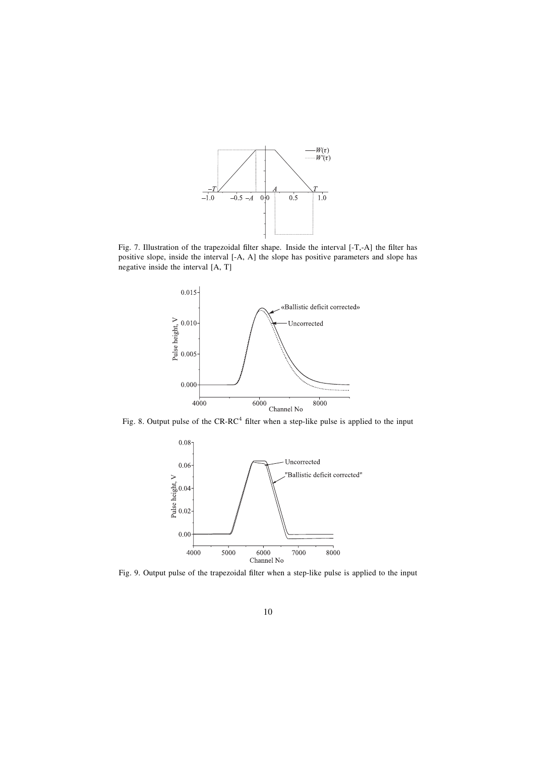

Fig. 7. Illustration of the trapezoidal filter shape. Inside the interval [-T,-A] the filter has positive slope, inside the interval [-A, A] the slope has positive parameters and slope has negative inside the interval [A, T]





Fig. 9. Output pulse of the trapezoidal filter when a step-like pulse is applied to the input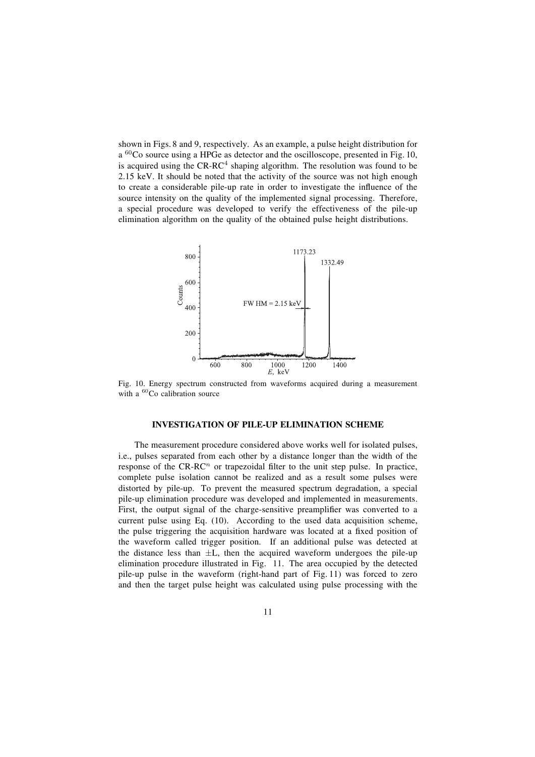shown in Figs. 8 and 9, respectively. As an example, a pulse height distribution for a <sup>60</sup>Co source using a HPGe as detector and the oscilloscope, presented in Fig. 10, is acquired using the  $CR$ - $RC<sup>4</sup>$  shaping algorithm. The resolution was found to be 2.15 keV. It should be noted that the activity of the source was not high enough to create a considerable pile-up rate in order to investigate the influence of the source intensity on the quality of the implemented signal processing. Therefore, a special procedure was developed to verify the effectiveness of the pile-up elimination algorithm on the quality of the obtained pulse height distributions.



Fig. 10. Energy spectrum constructed from waveforms acquired during a measurement with a <sup>60</sup>Co calibration source

## **INVESTIGATION OF PILE-UP ELIMINATION SCHEME**

The measurement procedure considered above works well for isolated pulses, i.e., pulses separated from each other by a distance longer than the width of the response of the  $CR-RC<sup>n</sup>$  or trapezoidal filter to the unit step pulse. In practice, complete pulse isolation cannot be realized and as a result some pulses were distorted by pile-up. To prevent the measured spectrum degradation, a special pile-up elimination procedure was developed and implemented in measurements. First, the output signal of the charge-sensitive preamplifier was converted to a current pulse using Eq. (10). According to the used data acquisition scheme, the pulse triggering the acquisition hardware was located at a fixed position of the waveform called trigger position. If an additional pulse was detected at the distance less than  $\pm L$ , then the acquired waveform undergoes the pile-up elimination procedure illustrated in Fig. 11. The area occupied by the detected pile-up pulse in the waveform (right-hand part of Fig. 11) was forced to zero and then the target pulse height was calculated using pulse processing with the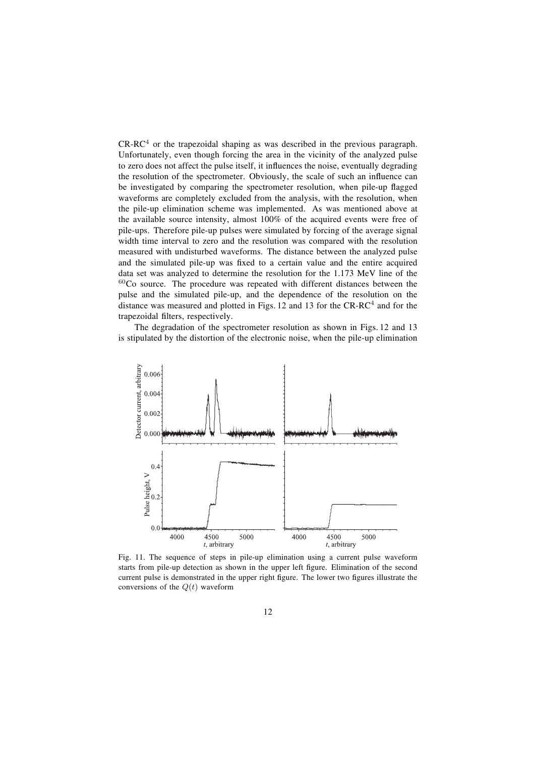$CR-RC<sup>4</sup>$  or the trapezoidal shaping as was described in the previous paragraph. Unfortunately, even though forcing the area in the vicinity of the analyzed pulse to zero does not affect the pulse itself, it influences the noise, eventually degrading the resolution of the spectrometer. Obviously, the scale of such an influence can be investigated by comparing the spectrometer resolution, when pile-up flagged waveforms are completely excluded from the analysis, with the resolution, when the pile-up elimination scheme was implemented. As was mentioned above at the available source intensity, almost 100% of the acquired events were free of pile-ups. Therefore pile-up pulses were simulated by forcing of the average signal width time interval to zero and the resolution was compared with the resolution measured with undisturbed waveforms. The distance between the analyzed pulse and the simulated pile-up was fixed to a certain value and the entire acquired data set was analyzed to determine the resolution for the 1.173 MeV line of the  $60Co$  source. The procedure was repeated with different distances between the pulse and the simulated pile-up, and the dependence of the resolution on the distance was measured and plotted in Figs. 12 and 13 for the  $CR-RC<sup>4</sup>$  and for the trapezoidal filters, respectively.

The degradation of the spectrometer resolution as shown in Figs. 12 and 13 is stipulated by the distortion of the electronic noise, when the pile-up elimination



Fig. 11. The sequence of steps in pile-up elimination using a current pulse waveform starts from pile-up detection as shown in the upper left figure. Elimination of the second current pulse is demonstrated in the upper right figure. The lower two figures illustrate the conversions of the  $Q(t)$  waveform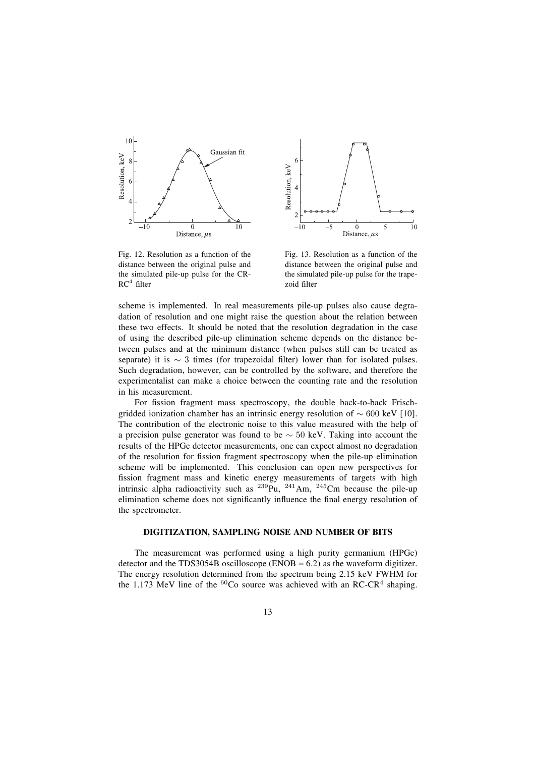

Fig. 12. Resolution as a function of the distance between the original pulse and the simulated pile-up pulse for the CR- $RC<sup>4</sup>$  filter



Fig. 13. Resolution as a function of the distance between the original pulse and the simulated pile-up pulse for the trapezoid filter

scheme is implemented. In real measurements pile-up pulses also cause degradation of resolution and one might raise the question about the relation between these two effects. It should be noted that the resolution degradation in the case of using the described pile-up elimination scheme depends on the distance between pulses and at the minimum distance (when pulses still can be treated as separate) it is  $\sim$  3 times (for trapezoidal filter) lower than for isolated pulses. Such degradation, however, can be controlled by the software, and therefore the experimentalist can make a choice between the counting rate and the resolution in his measurement.

For fission fragment mass spectroscopy, the double back-to-back Frischgridded ionization chamber has an intrinsic energy resolution of ∼ 600 keV [10]. The contribution of the electronic noise to this value measured with the help of a precision pulse generator was found to be ∼ 50 keV. Taking into account the results of the HPGe detector measurements, one can expect almost no degradation of the resolution for fission fragment spectroscopy when the pile-up elimination scheme will be implemented. This conclusion can open new perspectives for fission fragment mass and kinetic energy measurements of targets with high intrinsic alpha radioactivity such as  $^{239}$ Pu,  $^{241}$ Am,  $^{245}$ Cm because the pile-up elimination scheme does not significantly influence the final energy resolution of the spectrometer.

#### **DIGITIZATION, SAMPLING NOISE AND NUMBER OF BITS**

The measurement was performed using a high purity germanium (HPGe) detector and the TDS3054B oscilloscope ( $ENOB = 6.2$ ) as the waveform digitizer. The energy resolution determined from the spectrum being 2.15 keV FWHM for the 1.173 MeV line of the  ${}^{60}Co$  source was achieved with an RC-CR<sup>4</sup> shaping.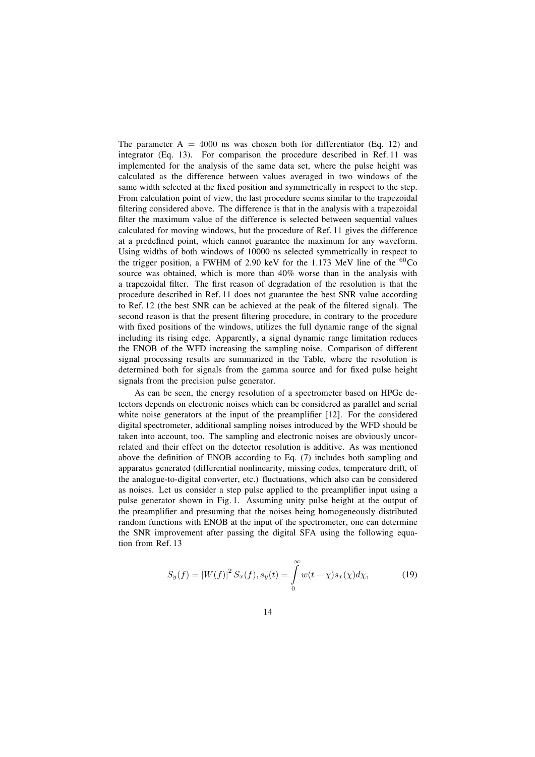The parameter  $A = 4000$  ns was chosen both for differentiator (Eq. 12) and integrator (Eq. 13). For comparison the procedure described in Ref. 11 was implemented for the analysis of the same data set, where the pulse height was calculated as the difference between values averaged in two windows of the same width selected at the fixed position and symmetrically in respect to the step. From calculation point of view, the last procedure seems similar to the trapezoidal filtering considered above. The difference is that in the analysis with a trapezoidal filter the maximum value of the difference is selected between sequential values calculated for moving windows, but the procedure of Ref. 11 gives the difference at a predefined point, which cannot guarantee the maximum for any waveform. Using widths of both windows of 10000 ns selected symmetrically in respect to the trigger position, a FWHM of 2.90 keV for the 1.173 MeV line of the  ${}^{60}Co$ source was obtained, which is more than 40% worse than in the analysis with a trapezoidal filter. The first reason of degradation of the resolution is that the procedure described in Ref. 11 does not guarantee the best SNR value according to Ref. 12 (the best SNR can be achieved at the peak of the filtered signal). The second reason is that the present filtering procedure, in contrary to the procedure with fixed positions of the windows, utilizes the full dynamic range of the signal including its rising edge. Apparently, a signal dynamic range limitation reduces the ENOB of the WFD increasing the sampling noise. Comparison of different signal processing results are summarized in the Table, where the resolution is determined both for signals from the gamma source and for fixed pulse height signals from the precision pulse generator.

As can be seen, the energy resolution of a spectrometer based on HPGe detectors depends on electronic noises which can be considered as parallel and serial white noise generators at the input of the preamplifier [12]. For the considered digital spectrometer, additional sampling noises introduced by the WFD should be taken into account, too. The sampling and electronic noises are obviously uncorrelated and their effect on the detector resolution is additive. As was mentioned above the definition of ENOB according to Eq.  $(7)$  includes both sampling and apparatus generated (differential nonlinearity, missing codes, temperature drift, of the analogue-to-digital converter, etc.) fluctuations, which also can be considered as noises. Let us consider a step pulse applied to the preamplifier input using a pulse generator shown in Fig. 1. Assuming unity pulse height at the output of the preamplifier and presuming that the noises being homogeneously distributed random functions with ENOB at the input of the spectrometer, one can determine the SNR improvement after passing the digital SFA using the following equation from Ref. 13

$$
S_y(f) = |W(f)|^2 S_x(f), s_y(t) = \int_0^\infty w(t - \chi) s_x(\chi) d\chi,
$$
 (19)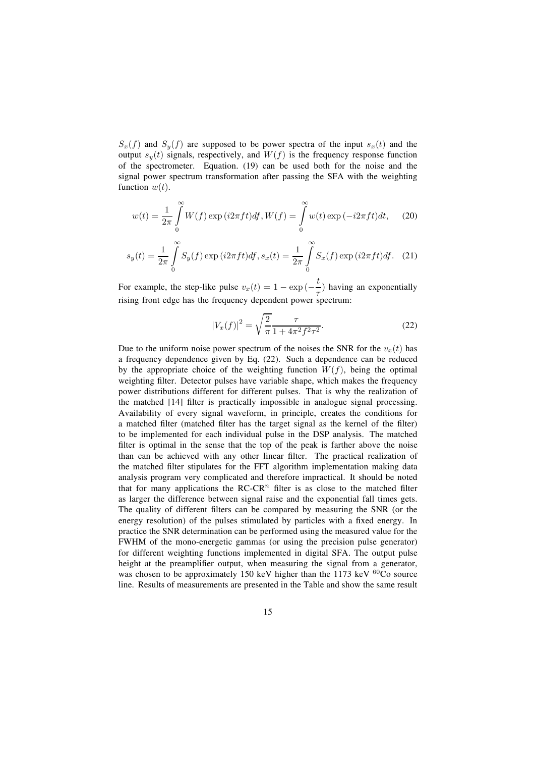$S_x(f)$  and  $S_y(f)$  are supposed to be power spectra of the input  $s_x(t)$  and the output  $s_y(t)$  signals, respectively, and  $W(f)$  is the frequency response function of the spectrometer. Equation. (19) can be used both for the noise and the signal power spectrum transformation after passing the SFA with the weighting function  $w(t)$ .

$$
w(t) = \frac{1}{2\pi} \int_{0}^{\infty} W(f) \exp(i2\pi ft) df, W(f) = \int_{0}^{\infty} w(t) \exp(-i2\pi ft) dt,
$$
 (20)

$$
s_y(t) = \frac{1}{2\pi} \int_0^\infty S_y(f) \exp(i2\pi ft) df, s_x(t) = \frac{1}{2\pi} \int_0^\infty S_x(f) \exp(i2\pi ft) df.
$$
 (21)

For example, the step-like pulse  $v_x(t) = 1 - \exp(-\frac{t}{\tau})$  having an exponentially rising front edge has the frequency dependent power spectrum:

$$
|V_x(f)|^2 = \sqrt{\frac{2}{\pi}} \frac{\tau}{1 + 4\pi^2 f^2 \tau^2}.
$$
 (22)

Due to the uniform noise power spectrum of the noises the SNR for the  $v_x(t)$  has a frequency dependence given by Eq. (22). Such a dependence can be reduced by the appropriate choice of the weighting function  $W(f)$ , being the optimal weighting filter. Detector pulses have variable shape, which makes the frequency power distributions different for different pulses. That is why the realization of the matched [14] filter is practically impossible in analogue signal processing. Availability of every signal waveform, in principle, creates the conditions for a matched filter (matched filter has the target signal as the kernel of the filter) to be implemented for each individual pulse in the DSP analysis. The matched filter is optimal in the sense that the top of the peak is farther above the noise than can be achieved with any other linear filter. The practical realization of the matched filter stipulates for the FFT algorithm implementation making data analysis program very complicated and therefore impractical. It should be noted that for many applications the RC-CR<sup>n</sup> filter is as close to the matched filter as larger the difference between signal raise and the exponential fall times gets. The quality of different filters can be compared by measuring the SNR (or the energy resolution) of the pulses stimulated by particles with a fixed energy. In practice the SNR determination can be performed using the measured value for the FWHM of the mono-energetic gammas (or using the precision pulse generator) for different weighting functions implemented in digital SFA. The output pulse height at the preamplifier output, when measuring the signal from a generator, was chosen to be approximately 150 keV higher than the 1173 keV  ${}^{60}Co$  source line. Results of measurements are presented in the Table and show the same result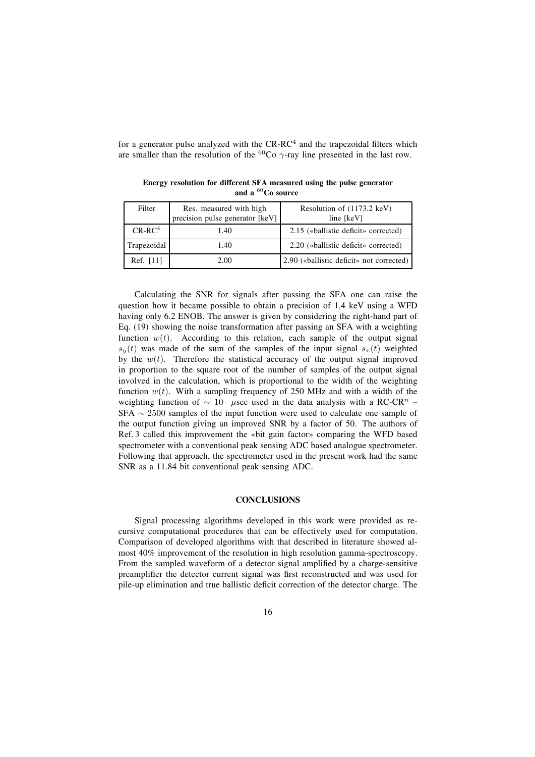for a generator pulse analyzed with the  $CR$ - $RC<sup>4</sup>$  and the trapezoidal filters which are smaller than the resolution of the <sup>60</sup>Co  $\gamma$ -ray line presented in the last row.

| Filter      | Res. measured with high         | Resolution of (1173.2 keV)               |
|-------------|---------------------------------|------------------------------------------|
|             | precision pulse generator [keV] | line [keV]                               |
| $CR-RC4$    | 1.40                            | 2.15 («ballistic deficit» corrected)     |
| Trapezoidal | 1.40                            | 2.20 («ballistic deficit» corrected)     |
| Ref. [11]   | 2.00                            | 2.90 («ballistic deficit» not corrected) |

**Energy resolution for different SFA measured using the pulse generator and a** <sup>60</sup>**Co source**

Calculating the SNR for signals after passing the SFA one can raise the question how it became possible to obtain a precision of 1.4 keV using a WFD having only 6.2 ENOB. The answer is given by considering the right-hand part of Eq. (19) showing the noise transformation after passing an SFA with a weighting function  $w(t)$ . According to this relation, each sample of the output signal  $s_y(t)$  was made of the sum of the samples of the input signal  $s_x(t)$  weighted by the  $w(t)$ . Therefore the statistical accuracy of the output signal improved in proportion to the square root of the number of samples of the output signal involved in the calculation, which is proportional to the width of the weighting function  $w(t)$ . With a sampling frequency of 250 MHz and with a width of the weighting function of  $\sim 10$  µsec used in the data analysis with a RC-CR<sup>n</sup> – SFA ∼ 2500 samples of the input function were used to calculate one sample of the output function giving an improved SNR by a factor of 50. The authors of Ref. 3 called this improvement the «bit gain factor» comparing the WFD based spectrometer with a conventional peak sensing ADC based analogue spectrometer. Following that approach, the spectrometer used in the present work had the same SNR as a 11.84 bit conventional peak sensing ADC.

### **CONCLUSIONS**

Signal processing algorithms developed in this work were provided as recursive computational procedures that can be effectively used for computation. Comparison of developed algorithms with that described in literature showed almost 40% improvement of the resolution in high resolution gamma-spectroscopy. From the sampled waveform of a detector signal amplified by a charge-sensitive preamplifier the detector current signal was first reconstructed and was used for pile-up elimination and true ballistic deficit correction of the detector charge. The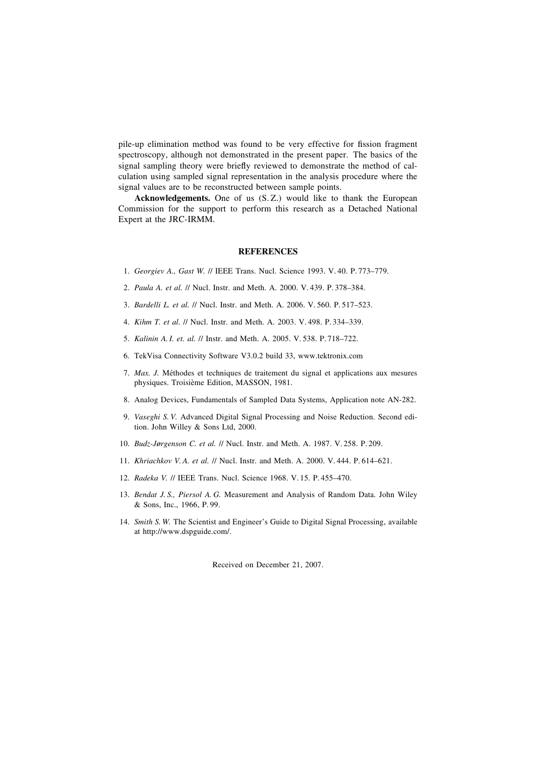pile-up elimination method was found to be very effective for fission fragment spectroscopy, although not demonstrated in the present paper. The basics of the signal sampling theory were briefly reviewed to demonstrate the method of calculation using sampled signal representation in the analysis procedure where the signal values are to be reconstructed between sample points.

**Acknowledgements.** One of us (S. Z.) would like to thank the European Commission for the support to perform this research as a Detached National Expert at the JRC-IRMM.

### **REFERENCES**

- 1. *Georgiev A., Gast W. // IEEE Trans. Nucl. Science 1993. V.40. P.773-779.*
- 2. *Paula A. et al.* // Nucl. Instr. and Meth. A. 2000. V. 439. P. 378-384.
- 3. *Bardelli L. et al.* // Nucl. Instr. and Meth. A. 2006. V. 560. P. 517–523.
- 4. *Kihm T. et al.* // Nucl. Instr. and Meth. A. 2003. V. 498. P. 334-339.
- 5. *Kalinin A. I. et. al.* // Instr. and Meth. A. 2005. V. 538. P. 718-722.
- 6. TekVisa Connectivity Software V3.0.2 build 33, www.tektronix.com
- 7. *Max. J.* Methodes et techniques de traitement du signal et applications aux mesures physiques. Troisième Edition, MASSON, 1981.
- 8. Analog Devices, Fundamentals of Sampled Data Systems, Application note AN-282.
- 9. *Vaseghi S. V.* Advanced Digital Signal Processing and Noise Reduction. Second edition. John Willey & Sons Ltd, 2000.
- 10. *Budz-Jørgenson C. et al. // Nucl. Instr. and Meth. A. 1987. V. 258. P. 209.*
- 11. *Khriachkov V.A. et al.* // Nucl. Instr. and Meth. A. 2000. V. 444. P. 614-621.
- 12. *Radeka V. // IEEE Trans. Nucl. Science 1968. V. 15. P. 455-470.*
- 13. *Bendat J. S., Piersol A. G.* Measurement and Analysis of Random Data. John Wiley & Sons, Inc., 1966, P. 99.
- 14. *Smith S. W.* The Scientist and Engineer's Guide to Digital Signal Processing, available at http://www.dspguide.com/.

Received on December 21, 2007.